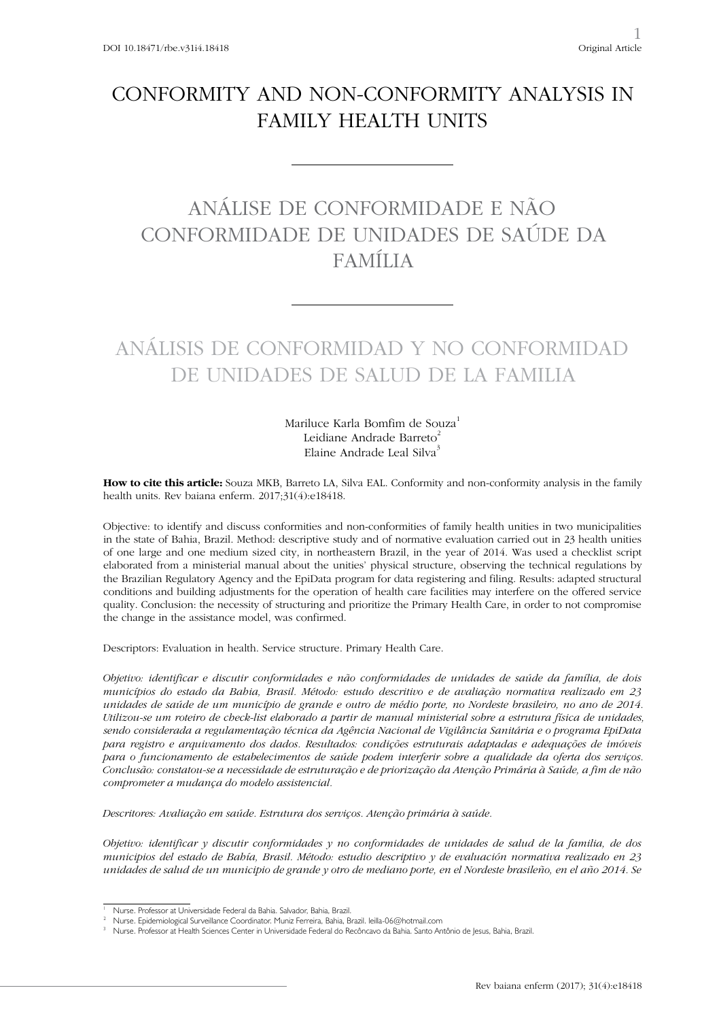# CONFORMITY AND NON-CONFORMITY ANALYSIS IN FAMILY HEALTH UNITS

# ANÁLISE DE CONFORMIDADE E NÃO CONFORMIDADE DE UNIDADES DE SAÚDE DA FAMÍLIA

# ANÁLISIS DE CONFORMIDAD Y NO CONFORMIDAD DE UNIDADES DE SALUD DE LA FAMILIA

Mariluce Karla Bomfim de Souza<sup>1</sup> Leidiane Andrade Barreto<sup>2</sup> Elaine Andrade Leal Silva<sup>3</sup>

**How to cite this article:** Souza MKB, Barreto LA, Silva EAL. Conformity and non-conformity analysis in the family health units. Rev baiana enferm. 2017;31(4):e18418.

Objective: to identify and discuss conformities and non-conformities of family health unities in two municipalities in the state of Bahia, Brazil. Method: descriptive study and of normative evaluation carried out in 23 health unities of one large and one medium sized city, in northeastern Brazil, in the year of 2014. Was used a checklist script elaborated from a ministerial manual about the unities' physical structure, observing the technical regulations by the Brazilian Regulatory Agency and the EpiData program for data registering and filing. Results: adapted structural conditions and building adjustments for the operation of health care facilities may interfere on the offered service quality. Conclusion: the necessity of structuring and prioritize the Primary Health Care, in order to not compromise the change in the assistance model, was confirmed.

Descriptors: Evaluation in health. Service structure. Primary Health Care.

*Objetivo: identificar e discutir conformidades e não conformidades de unidades de saúde da família, de dois municípios do estado da Bahia, Brasil. Método: estudo descritivo e de avaliação normativa realizado em 23 unidades de saúde de um município de grande e outro de médio porte, no Nordeste brasileiro, no ano de 2014. Utilizou-se um roteiro de check-list elaborado a partir de manual ministerial sobre a estrutura física de unidades, sendo considerada a regulamentação técnica da Agência Nacional de Vigilância Sanitária e o programa EpiData para registro e arquivamento dos dados. Resultados: condições estruturais adaptadas e adequações de imóveis para o funcionamento de estabelecimentos de saúde podem interferir sobre a qualidade da oferta dos serviços. Conclusão: constatou-se a necessidade de estruturação e de priorização da Atenção Primária à Saúde, a fim de não comprometer a mudança do modelo assistencial.*

*Descritores: Avaliação em saúde. Estrutura dos serviços. Atenção primária à saúde.*

*Objetivo: identificar y discutir conformidades y no conformidades de unidades de salud de la familia, de dos municipios del estado de Bahía, Brasil. Método: estudio descriptivo y de evaluación normativa realizado en 23 unidades de salud de un municipio de grande y otro de mediano porte, en el Nordeste brasileño, en el año 2014. Se* 

<sup>1</sup> Nurse. Professor at Universidade Federal da Bahia. Salvador, Bahia, Brazil.

<sup>2</sup> Nurse. Epidemiological Surveillance Coordinator. Muniz Ferreira, Bahia, Brazil. leilla-06@hotmail.com

<sup>3</sup> Nurse. Professor at Health Sciences Center in Universidade Federal do Recôncavo da Bahia. Santo Antônio de Jesus, Bahia, Brazil.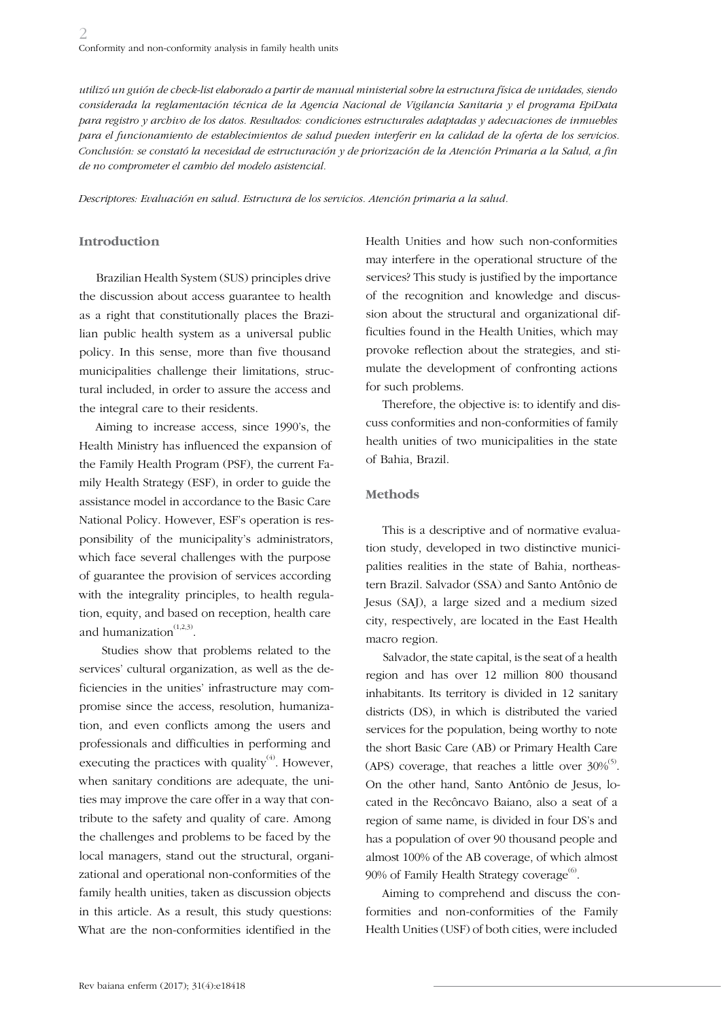*utilizó un guión de check-list elaborado a partir de manual ministerial sobre la estructura física de unidades, siendo considerada la reglamentación técnica de la Agencia Nacional de Vigilancia Sanitaria y el programa EpiData para registro y archivo de los datos. Resultados: condiciones estructurales adaptadas y adecuaciones de inmuebles para el funcionamiento de establecimientos de salud pueden interferir en la calidad de la oferta de los servicios. Conclusión: se constató la necesidad de estructuración y de priorización de la Atención Primaria a la Salud, a fin de no comprometer el cambio del modelo asistencial.*

*Descriptores: Evaluación en salud. Estructura de los servicios. Atención primaria a la salud.*

#### **Introduction**

Brazilian Health System (SUS) principles drive the discussion about access guarantee to health as a right that constitutionally places the Brazilian public health system as a universal public policy. In this sense, more than five thousand municipalities challenge their limitations, structural included, in order to assure the access and the integral care to their residents.

Aiming to increase access, since 1990's, the Health Ministry has influenced the expansion of the Family Health Program (PSF), the current Family Health Strategy (ESF), in order to guide the assistance model in accordance to the Basic Care National Policy. However, ESF's operation is responsibility of the municipality's administrators, which face several challenges with the purpose of guarantee the provision of services according with the integrality principles, to health regulation, equity, and based on reception, health care and humanization $(1,2,3)$ .

 Studies show that problems related to the services' cultural organization, as well as the deficiencies in the unities' infrastructure may compromise since the access, resolution, humanization, and even conflicts among the users and professionals and difficulties in performing and executing the practices with quality $(4)$ . However, when sanitary conditions are adequate, the unities may improve the care offer in a way that contribute to the safety and quality of care. Among the challenges and problems to be faced by the local managers, stand out the structural, organizational and operational non-conformities of the family health unities, taken as discussion objects in this article. As a result, this study questions: What are the non-conformities identified in the

Health Unities and how such non-conformities may interfere in the operational structure of the services? This study is justified by the importance of the recognition and knowledge and discussion about the structural and organizational difficulties found in the Health Unities, which may provoke reflection about the strategies, and stimulate the development of confronting actions for such problems.

Therefore, the objective is: to identify and discuss conformities and non-conformities of family health unities of two municipalities in the state of Bahia, Brazil.

#### **Methods**

This is a descriptive and of normative evaluation study, developed in two distinctive municipalities realities in the state of Bahia, northeastern Brazil. Salvador (SSA) and Santo Antônio de Jesus (SAJ), a large sized and a medium sized city, respectively, are located in the East Health macro region.

Salvador, the state capital, is the seat of a health region and has over 12 million 800 thousand inhabitants. Its territory is divided in 12 sanitary districts (DS), in which is distributed the varied services for the population, being worthy to note the short Basic Care (AB) or Primary Health Care (APS) coverage, that reaches a little over  $30\%$ <sup>(5)</sup>. On the other hand, Santo Antônio de Jesus, located in the Recôncavo Baiano, also a seat of a region of same name, is divided in four DS's and has a population of over 90 thousand people and almost 100% of the AB coverage, of which almost 90% of Family Health Strategy coverage $^{(6)}$ .

Aiming to comprehend and discuss the conformities and non-conformities of the Family Health Unities (USF) of both cities, were included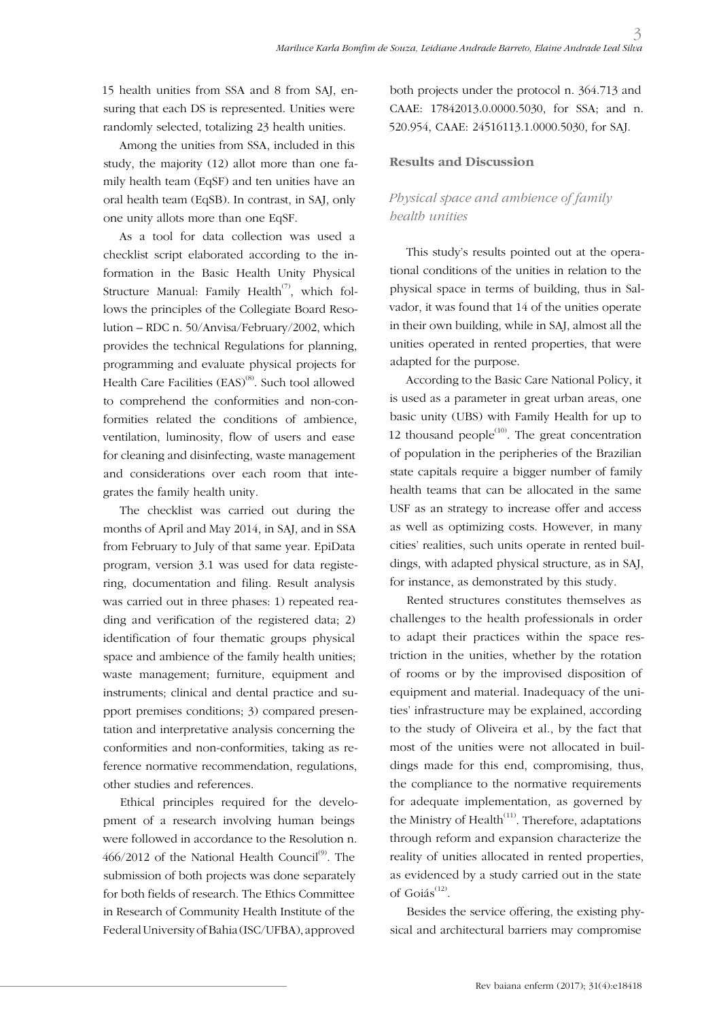15 health unities from SSA and 8 from SAJ, ensuring that each DS is represented. Unities were randomly selected, totalizing 23 health unities.

Among the unities from SSA, included in this study, the majority (12) allot more than one family health team (EqSF) and ten unities have an oral health team (EqSB). In contrast, in SAJ, only one unity allots more than one EqSF.

As a tool for data collection was used a checklist script elaborated according to the information in the Basic Health Unity Physical Structure Manual: Family Health<sup> $(7)$ </sup>, which follows the principles of the Collegiate Board Resolution – RDC n. 50/Anvisa/February/2002, which provides the technical Regulations for planning, programming and evaluate physical projects for Health Care Facilities (EAS)<sup>(8)</sup>. Such tool allowed to comprehend the conformities and non-conformities related the conditions of ambience, ventilation, luminosity, flow of users and ease for cleaning and disinfecting, waste management and considerations over each room that integrates the family health unity.

The checklist was carried out during the months of April and May 2014, in SAJ, and in SSA from February to July of that same year. EpiData program, version 3.1 was used for data registering, documentation and filing. Result analysis was carried out in three phases: 1) repeated reading and verification of the registered data; 2) identification of four thematic groups physical space and ambience of the family health unities; waste management; furniture, equipment and instruments; clinical and dental practice and support premises conditions; 3) compared presentation and interpretative analysis concerning the conformities and non-conformities, taking as reference normative recommendation, regulations, other studies and references.

Ethical principles required for the development of a research involving human beings were followed in accordance to the Resolution n.  $466/2012$  of the National Health Council<sup>(9)</sup>. The submission of both projects was done separately for both fields of research. The Ethics Committee in Research of Community Health Institute of the Federal University of Bahia (ISC/UFBA), approved

both projects under the protocol n. 364.713 and CAAE: 17842013.0.0000.5030, for SSA; and n. 520.954, CAAE: 24516113.1.0000.5030, for SAJ.

### **Results and Discussion**

# *Physical space and ambience of family health unities*

This study's results pointed out at the operational conditions of the unities in relation to the physical space in terms of building, thus in Salvador, it was found that 14 of the unities operate in their own building, while in SAJ, almost all the unities operated in rented properties, that were adapted for the purpose.

According to the Basic Care National Policy, it is used as a parameter in great urban areas, one basic unity (UBS) with Family Health for up to 12 thousand people $^{(10)}$ . The great concentration of population in the peripheries of the Brazilian state capitals require a bigger number of family health teams that can be allocated in the same USF as an strategy to increase offer and access as well as optimizing costs. However, in many cities' realities, such units operate in rented buildings, with adapted physical structure, as in SAJ, for instance, as demonstrated by this study.

Rented structures constitutes themselves as challenges to the health professionals in order to adapt their practices within the space restriction in the unities, whether by the rotation of rooms or by the improvised disposition of equipment and material. Inadequacy of the unities' infrastructure may be explained, according to the study of Oliveira et al., by the fact that most of the unities were not allocated in buildings made for this end, compromising, thus, the compliance to the normative requirements for adequate implementation, as governed by the Ministry of Health $(11)$ . Therefore, adaptations through reform and expansion characterize the reality of unities allocated in rented properties, as evidenced by a study carried out in the state of Goiás<sup>(12)</sup>.

Besides the service offering, the existing physical and architectural barriers may compromise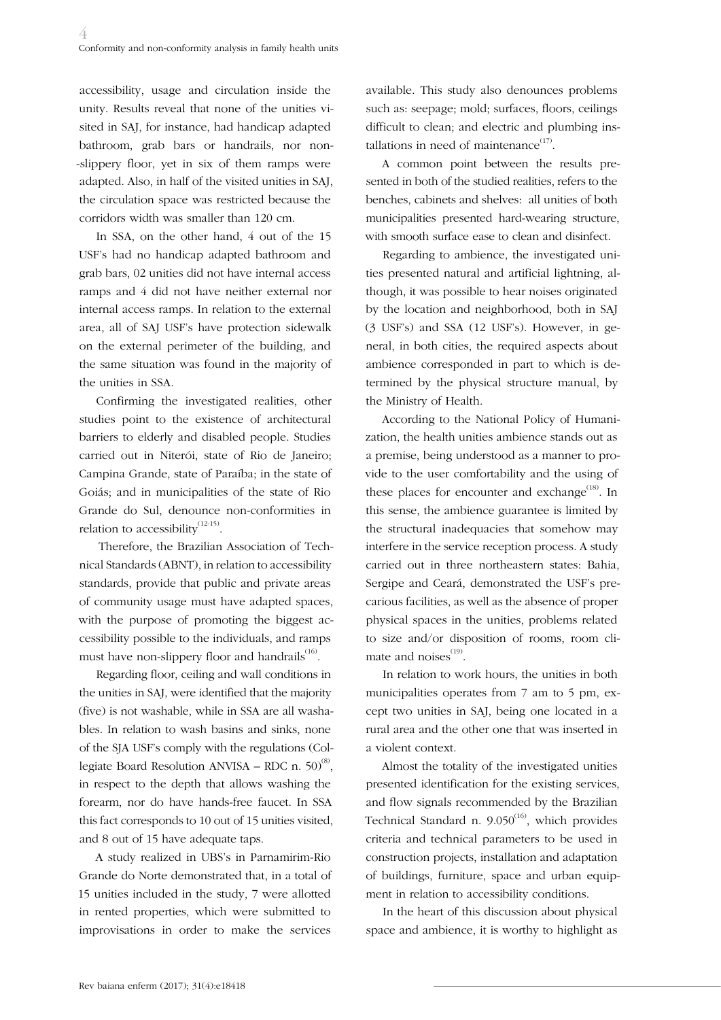accessibility, usage and circulation inside the unity. Results reveal that none of the unities visited in SAJ, for instance, had handicap adapted bathroom, grab bars or handrails, nor non- -slippery floor, yet in six of them ramps were adapted. Also, in half of the visited unities in SAJ, the circulation space was restricted because the corridors width was smaller than 120 cm.

In SSA, on the other hand, 4 out of the 15 USF's had no handicap adapted bathroom and grab bars, 02 unities did not have internal access ramps and 4 did not have neither external nor internal access ramps. In relation to the external area, all of SAJ USF's have protection sidewalk on the external perimeter of the building, and the same situation was found in the majority of the unities in SSA.

Confirming the investigated realities, other studies point to the existence of architectural barriers to elderly and disabled people. Studies carried out in Niterói, state of Rio de Janeiro; Campina Grande, state of Paraíba; in the state of Goiás; and in municipalities of the state of Rio Grande do Sul, denounce non-conformities in relation to accessibility<sup> $(12-15)$ </sup>.

Therefore, the Brazilian Association of Technical Standards (ABNT), in relation to accessibility standards, provide that public and private areas of community usage must have adapted spaces, with the purpose of promoting the biggest accessibility possible to the individuals, and ramps must have non-slippery floor and handrails $^{(16)}$ .

Regarding floor, ceiling and wall conditions in the unities in SAJ, were identified that the majority (five) is not washable, while in SSA are all washables. In relation to wash basins and sinks, none of the SJA USF's comply with the regulations (Collegiate Board Resolution ANVISA – RDC n.  $50^{(8)}$ , in respect to the depth that allows washing the forearm, nor do have hands-free faucet. In SSA this fact corresponds to 10 out of 15 unities visited, and 8 out of 15 have adequate taps.

A study realized in UBS's in Parnamirim-Rio Grande do Norte demonstrated that, in a total of 15 unities included in the study, 7 were allotted in rented properties, which were submitted to improvisations in order to make the services

available. This study also denounces problems such as: seepage; mold; surfaces, floors, ceilings difficult to clean; and electric and plumbing installations in need of maintenance $(17)$ .

A common point between the results presented in both of the studied realities, refers to the benches, cabinets and shelves: all unities of both municipalities presented hard-wearing structure, with smooth surface ease to clean and disinfect.

Regarding to ambience, the investigated unities presented natural and artificial lightning, although, it was possible to hear noises originated by the location and neighborhood, both in SAJ (3 USF's) and SSA (12 USF's). However, in general, in both cities, the required aspects about ambience corresponded in part to which is determined by the physical structure manual, by the Ministry of Health.

According to the National Policy of Humanization, the health unities ambience stands out as a premise, being understood as a manner to provide to the user comfortability and the using of these places for encounter and exchange<sup> $(18)$ </sup>. In this sense, the ambience guarantee is limited by the structural inadequacies that somehow may interfere in the service reception process. A study carried out in three northeastern states: Bahia, Sergipe and Ceará, demonstrated the USF's precarious facilities, as well as the absence of proper physical spaces in the unities, problems related to size and/or disposition of rooms, room climate and noises<sup>(19)</sup>.

In relation to work hours, the unities in both municipalities operates from 7 am to 5 pm, except two unities in SAJ, being one located in a rural area and the other one that was inserted in a violent context.

Almost the totality of the investigated unities presented identification for the existing services, and flow signals recommended by the Brazilian Technical Standard n.  $9.050^{(16)}$ , which provides criteria and technical parameters to be used in construction projects, installation and adaptation of buildings, furniture, space and urban equipment in relation to accessibility conditions.

In the heart of this discussion about physical space and ambience, it is worthy to highlight as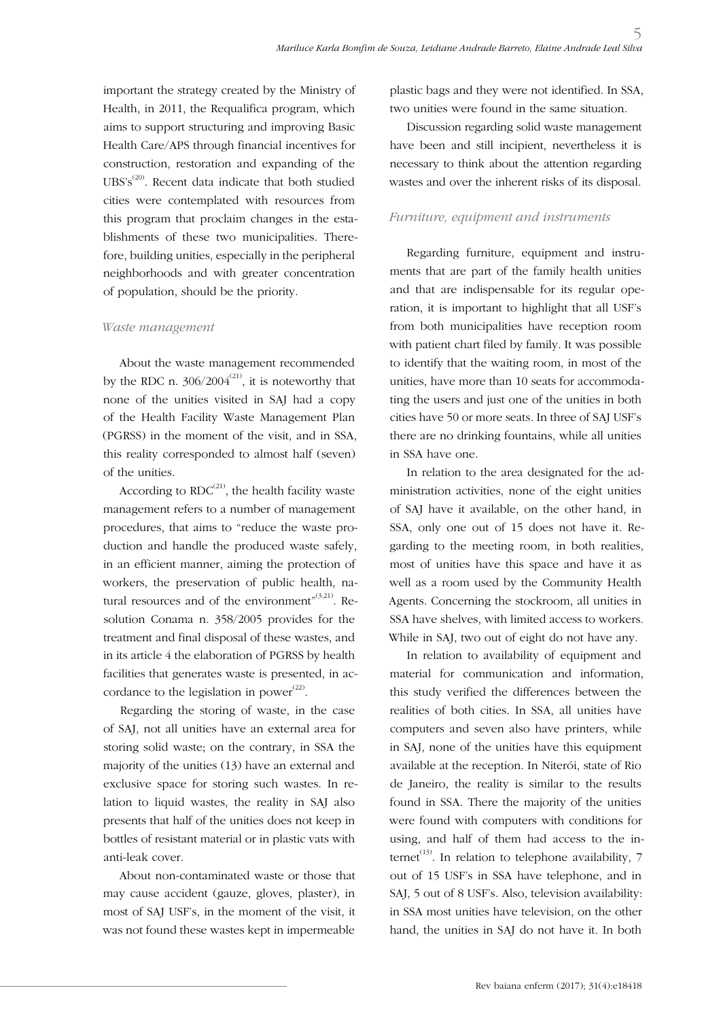important the strategy created by the Ministry of Health, in 2011, the Requalifica program, which aims to support structuring and improving Basic Health Care/APS through financial incentives for construction, restoration and expanding of the UBS's<sup>(20)</sup>. Recent data indicate that both studied cities were contemplated with resources from this program that proclaim changes in the establishments of these two municipalities. Therefore, building unities, especially in the peripheral neighborhoods and with greater concentration of population, should be the priority.

#### *Waste management*

About the waste management recommended by the RDC n.  $306/2004^{(21)}$ , it is noteworthy that none of the unities visited in SAJ had a copy of the Health Facility Waste Management Plan (PGRSS) in the moment of the visit, and in SSA, this reality corresponded to almost half (seven) of the unities.

According to  $RDC^{(21)}$ , the health facility waste management refers to a number of management procedures, that aims to "reduce the waste production and handle the produced waste safely, in an efficient manner, aiming the protection of workers, the preservation of public health, natural resources and of the environment" $(3,21)$ . Resolution Conama n. 358/2005 provides for the treatment and final disposal of these wastes, and in its article 4 the elaboration of PGRSS by health facilities that generates waste is presented, in accordance to the legislation in power<sup> $(22)$ </sup>.

Regarding the storing of waste, in the case of SAJ, not all unities have an external area for storing solid waste; on the contrary, in SSA the majority of the unities (13) have an external and exclusive space for storing such wastes. In relation to liquid wastes, the reality in SAJ also presents that half of the unities does not keep in bottles of resistant material or in plastic vats with anti-leak cover.

About non-contaminated waste or those that may cause accident (gauze, gloves, plaster), in most of SAJ USF's, in the moment of the visit, it was not found these wastes kept in impermeable plastic bags and they were not identified. In SSA, two unities were found in the same situation.

Discussion regarding solid waste management have been and still incipient, nevertheless it is necessary to think about the attention regarding wastes and over the inherent risks of its disposal.

### *Furniture, equipment and instruments*

Regarding furniture, equipment and instruments that are part of the family health unities and that are indispensable for its regular operation, it is important to highlight that all USF's from both municipalities have reception room with patient chart filed by family. It was possible to identify that the waiting room, in most of the unities, have more than 10 seats for accommodating the users and just one of the unities in both cities have 50 or more seats. In three of SAJ USF's there are no drinking fountains, while all unities in SSA have one.

In relation to the area designated for the administration activities, none of the eight unities of SAJ have it available, on the other hand, in SSA, only one out of 15 does not have it. Regarding to the meeting room, in both realities, most of unities have this space and have it as well as a room used by the Community Health Agents. Concerning the stockroom, all unities in SSA have shelves, with limited access to workers. While in SAJ, two out of eight do not have any.

In relation to availability of equipment and material for communication and information, this study verified the differences between the realities of both cities. In SSA, all unities have computers and seven also have printers, while in SAJ, none of the unities have this equipment available at the reception. In Niterói, state of Rio de Janeiro, the reality is similar to the results found in SSA. There the majority of the unities were found with computers with conditions for using, and half of them had access to the internet<sup>(13)</sup>. In relation to telephone availability,  $7$ out of 15 USF's in SSA have telephone, and in SAJ, 5 out of 8 USF's. Also, television availability: in SSA most unities have television, on the other hand, the unities in SAJ do not have it. In both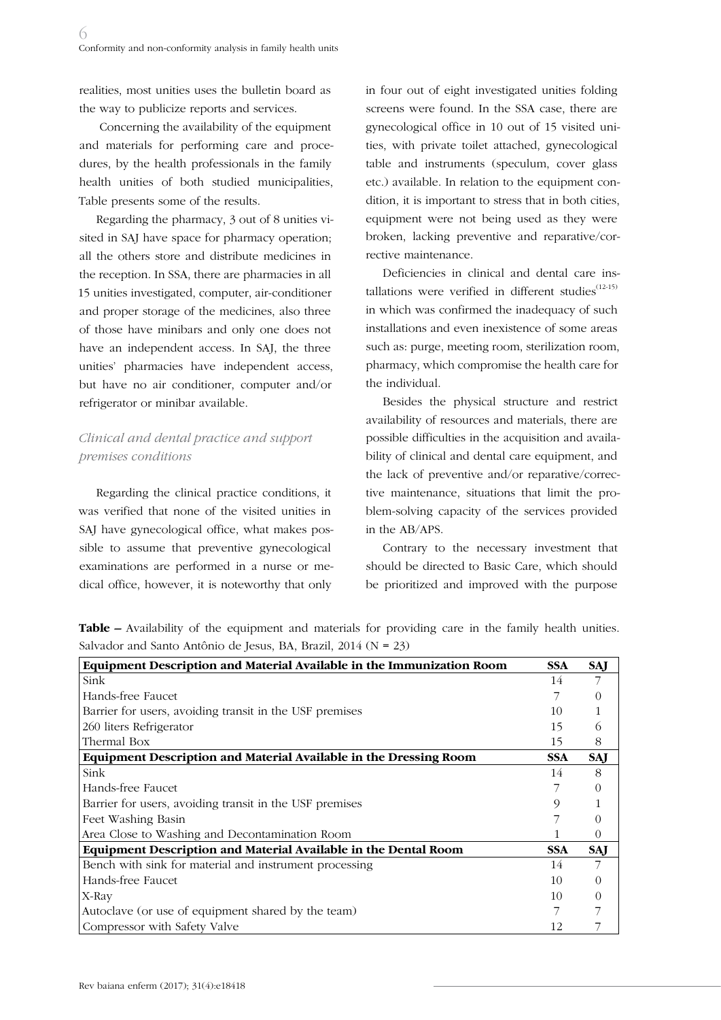realities, most unities uses the bulletin board as the way to publicize reports and services.

 Concerning the availability of the equipment and materials for performing care and procedures, by the health professionals in the family health unities of both studied municipalities, Table presents some of the results.

Regarding the pharmacy, 3 out of 8 unities visited in SAJ have space for pharmacy operation; all the others store and distribute medicines in the reception. In SSA, there are pharmacies in all 15 unities investigated, computer, air-conditioner and proper storage of the medicines, also three of those have minibars and only one does not have an independent access. In SAJ, the three unities' pharmacies have independent access, but have no air conditioner, computer and/or refrigerator or minibar available.

# *Clinical and dental practice and support premises conditions*

Regarding the clinical practice conditions, it was verified that none of the visited unities in SAJ have gynecological office, what makes possible to assume that preventive gynecological examinations are performed in a nurse or medical office, however, it is noteworthy that only

in four out of eight investigated unities folding screens were found. In the SSA case, there are gynecological office in 10 out of 15 visited unities, with private toilet attached, gynecological table and instruments (speculum, cover glass etc.) available. In relation to the equipment condition, it is important to stress that in both cities, equipment were not being used as they were broken, lacking preventive and reparative/corrective maintenance.

Deficiencies in clinical and dental care installations were verified in different studies $^{(12\cdot15)}$ in which was confirmed the inadequacy of such installations and even inexistence of some areas such as: purge, meeting room, sterilization room, pharmacy, which compromise the health care for the individual.

Besides the physical structure and restrict availability of resources and materials, there are possible difficulties in the acquisition and availability of clinical and dental care equipment, and the lack of preventive and/or reparative/corrective maintenance, situations that limit the problem-solving capacity of the services provided in the AB/APS.

Contrary to the necessary investment that should be directed to Basic Care, which should be prioritized and improved with the purpose

| <b>Table –</b> Availability of the equipment and materials for providing care in the family health unities. |  |  |  |  |  |  |
|-------------------------------------------------------------------------------------------------------------|--|--|--|--|--|--|
| Salvador and Santo Antônio de Jesus, BA, Brazil, $2014$ (N = 23)                                            |  |  |  |  |  |  |

| <b>Equipment Description and Material Available in the Immunization Room</b> | <b>SSA</b> | <b>SAI</b> |
|------------------------------------------------------------------------------|------------|------------|
| Sink                                                                         | 14         |            |
| Hands-free Faucet                                                            |            |            |
| Barrier for users, avoiding transit in the USF premises                      | 10         |            |
| 260 liters Refrigerator                                                      | 15         | (ე         |
| Thermal Box                                                                  | 15         | 8          |
| Equipment Description and Material Available in the Dressing Room            | <b>SSA</b> | SAJ        |
| Sink                                                                         | 14         | 8          |
| Hands-free Faucet                                                            |            |            |
| Barrier for users, avoiding transit in the USF premises                      |            |            |
| Feet Washing Basin                                                           |            |            |
| Area Close to Washing and Decontamination Room                               |            | $\theta$   |
| Equipment Description and Material Available in the Dental Room              | <b>SSA</b> | SAJ        |
| Bench with sink for material and instrument processing                       | 14         |            |
| Hands-free Faucet                                                            | 10         |            |
| X-Ray                                                                        | 10         |            |
| Autoclave (or use of equipment shared by the team)                           |            |            |
| Compressor with Safety Valve                                                 | 12         |            |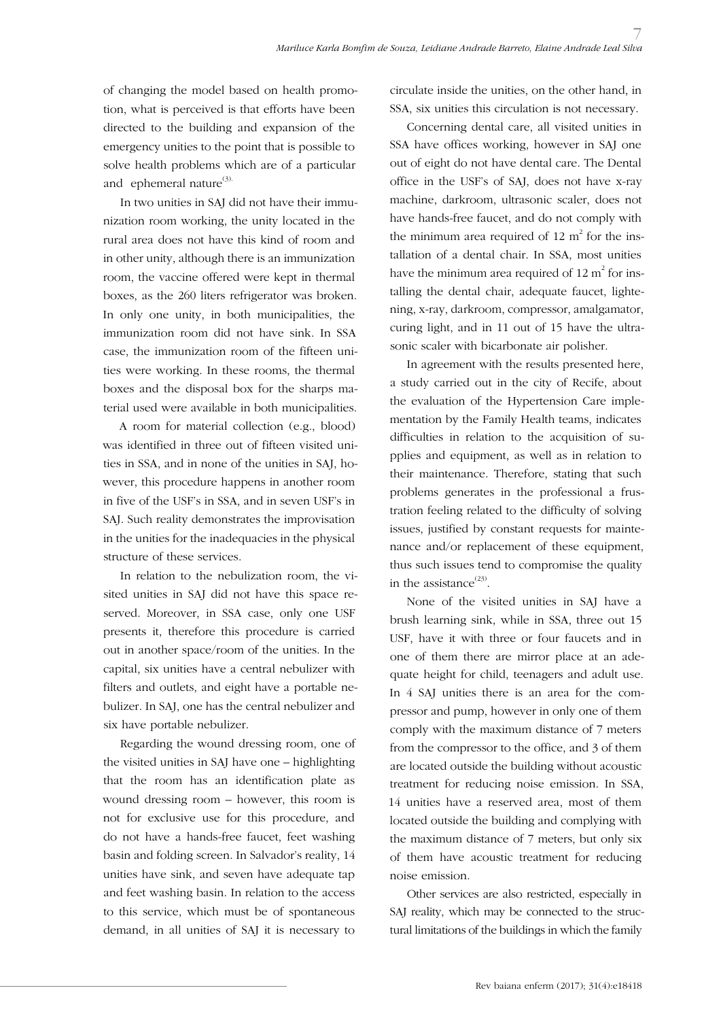of changing the model based on health promotion, what is perceived is that efforts have been directed to the building and expansion of the emergency unities to the point that is possible to solve health problems which are of a particular and ephemeral nature<sup>(3).</sup>

In two unities in SAJ did not have their immunization room working, the unity located in the rural area does not have this kind of room and in other unity, although there is an immunization room, the vaccine offered were kept in thermal boxes, as the 260 liters refrigerator was broken. In only one unity, in both municipalities, the immunization room did not have sink. In SSA case, the immunization room of the fifteen unities were working. In these rooms, the thermal boxes and the disposal box for the sharps material used were available in both municipalities.

A room for material collection (e.g., blood) was identified in three out of fifteen visited unities in SSA, and in none of the unities in SAJ, however, this procedure happens in another room in five of the USF's in SSA, and in seven USF's in SAJ. Such reality demonstrates the improvisation in the unities for the inadequacies in the physical structure of these services.

In relation to the nebulization room, the visited unities in SAJ did not have this space reserved. Moreover, in SSA case, only one USF presents it, therefore this procedure is carried out in another space/room of the unities. In the capital, six unities have a central nebulizer with filters and outlets, and eight have a portable nebulizer. In SAJ, one has the central nebulizer and six have portable nebulizer.

Regarding the wound dressing room, one of the visited unities in SAJ have one – highlighting that the room has an identification plate as wound dressing room – however, this room is not for exclusive use for this procedure, and do not have a hands-free faucet, feet washing basin and folding screen. In Salvador's reality, 14 unities have sink, and seven have adequate tap and feet washing basin. In relation to the access to this service, which must be of spontaneous demand, in all unities of SAJ it is necessary to circulate inside the unities, on the other hand, in SSA, six unities this circulation is not necessary.

Concerning dental care, all visited unities in SSA have offices working, however in SAJ one out of eight do not have dental care. The Dental office in the USF's of SAJ, does not have x-ray machine, darkroom, ultrasonic scaler, does not have hands-free faucet, and do not comply with the minimum area required of 12  $m^2$  for the installation of a dental chair. In SSA, most unities have the minimum area required of  $12 \text{ m}^2$  for installing the dental chair, adequate faucet, lightening, x-ray, darkroom, compressor, amalgamator, curing light, and in 11 out of 15 have the ultrasonic scaler with bicarbonate air polisher.

In agreement with the results presented here, a study carried out in the city of Recife, about the evaluation of the Hypertension Care implementation by the Family Health teams, indicates difficulties in relation to the acquisition of supplies and equipment, as well as in relation to their maintenance. Therefore, stating that such problems generates in the professional a frustration feeling related to the difficulty of solving issues, justified by constant requests for maintenance and/or replacement of these equipment, thus such issues tend to compromise the quality in the assistance $^{(23)}$ .

None of the visited unities in SAJ have a brush learning sink, while in SSA, three out 15 USF, have it with three or four faucets and in one of them there are mirror place at an adequate height for child, teenagers and adult use. In 4 SAJ unities there is an area for the compressor and pump, however in only one of them comply with the maximum distance of 7 meters from the compressor to the office, and 3 of them are located outside the building without acoustic treatment for reducing noise emission. In SSA, 14 unities have a reserved area, most of them located outside the building and complying with the maximum distance of 7 meters, but only six of them have acoustic treatment for reducing noise emission.

Other services are also restricted, especially in SAJ reality, which may be connected to the structural limitations of the buildings in which the family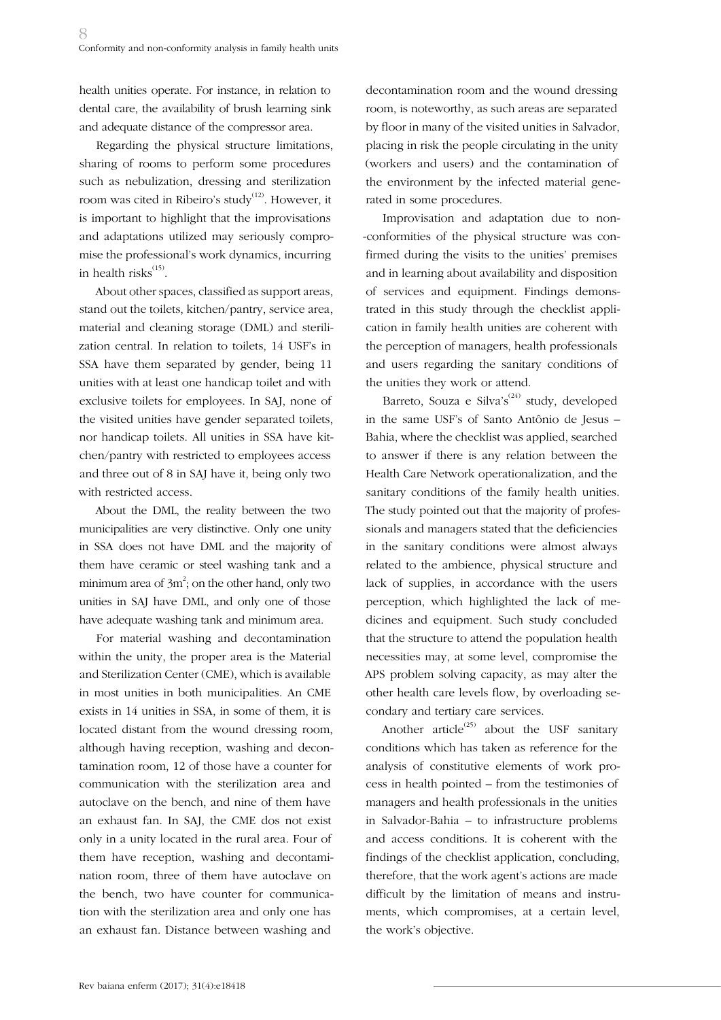health unities operate. For instance, in relation to dental care, the availability of brush learning sink and adequate distance of the compressor area.

Regarding the physical structure limitations, sharing of rooms to perform some procedures such as nebulization, dressing and sterilization room was cited in Ribeiro's study<sup>(12)</sup>. However, it is important to highlight that the improvisations and adaptations utilized may seriously compromise the professional's work dynamics, incurring in health risks<sup>(15)</sup>.

About other spaces, classified as support areas, stand out the toilets, kitchen/pantry, service area, material and cleaning storage (DML) and sterilization central. In relation to toilets, 14 USF's in SSA have them separated by gender, being 11 unities with at least one handicap toilet and with exclusive toilets for employees. In SAJ, none of the visited unities have gender separated toilets, nor handicap toilets. All unities in SSA have kitchen/pantry with restricted to employees access and three out of 8 in SAJ have it, being only two with restricted access.

About the DML, the reality between the two municipalities are very distinctive. Only one unity in SSA does not have DML and the majority of them have ceramic or steel washing tank and a minimum area of 3m $^2$ ; on the other hand, only two unities in SAJ have DML, and only one of those have adequate washing tank and minimum area.

For material washing and decontamination within the unity, the proper area is the Material and Sterilization Center (CME), which is available in most unities in both municipalities. An CME exists in 14 unities in SSA, in some of them, it is located distant from the wound dressing room, although having reception, washing and decontamination room, 12 of those have a counter for communication with the sterilization area and autoclave on the bench, and nine of them have an exhaust fan. In SAJ, the CME dos not exist only in a unity located in the rural area. Four of them have reception, washing and decontamination room, three of them have autoclave on the bench, two have counter for communication with the sterilization area and only one has an exhaust fan. Distance between washing and

decontamination room and the wound dressing room, is noteworthy, as such areas are separated by floor in many of the visited unities in Salvador, placing in risk the people circulating in the unity (workers and users) and the contamination of the environment by the infected material generated in some procedures.

Improvisation and adaptation due to non- -conformities of the physical structure was confirmed during the visits to the unities' premises and in learning about availability and disposition of services and equipment. Findings demonstrated in this study through the checklist application in family health unities are coherent with the perception of managers, health professionals and users regarding the sanitary conditions of the unities they work or attend.

Barreto, Souza e Silva's<sup>(24)</sup> study, developed in the same USF's of Santo Antônio de Jesus – Bahia, where the checklist was applied, searched to answer if there is any relation between the Health Care Network operationalization, and the sanitary conditions of the family health unities. The study pointed out that the majority of professionals and managers stated that the deficiencies in the sanitary conditions were almost always related to the ambience, physical structure and lack of supplies, in accordance with the users perception, which highlighted the lack of medicines and equipment. Such study concluded that the structure to attend the population health necessities may, at some level, compromise the APS problem solving capacity, as may alter the other health care levels flow, by overloading secondary and tertiary care services.

Another article<sup>(25)</sup> about the USF sanitary conditions which has taken as reference for the analysis of constitutive elements of work process in health pointed – from the testimonies of managers and health professionals in the unities in Salvador-Bahia – to infrastructure problems and access conditions. It is coherent with the findings of the checklist application, concluding, therefore, that the work agent's actions are made difficult by the limitation of means and instruments, which compromises, at a certain level, the work's objective.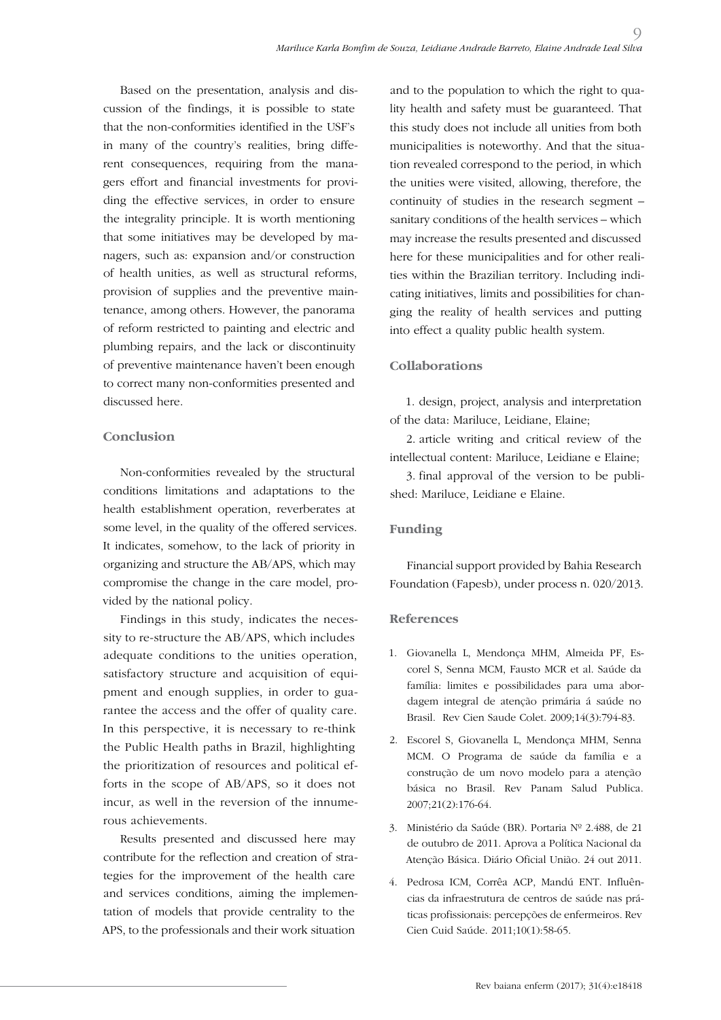Based on the presentation, analysis and discussion of the findings, it is possible to state that the non-conformities identified in the USF's in many of the country's realities, bring different consequences, requiring from the managers effort and financial investments for providing the effective services, in order to ensure the integrality principle. It is worth mentioning that some initiatives may be developed by managers, such as: expansion and/or construction of health unities, as well as structural reforms, provision of supplies and the preventive maintenance, among others. However, the panorama of reform restricted to painting and electric and plumbing repairs, and the lack or discontinuity of preventive maintenance haven't been enough to correct many non-conformities presented and discussed here.

### **Conclusion**

Non-conformities revealed by the structural conditions limitations and adaptations to the health establishment operation, reverberates at some level, in the quality of the offered services. It indicates, somehow, to the lack of priority in organizing and structure the AB/APS, which may compromise the change in the care model, provided by the national policy.

Findings in this study, indicates the necessity to re-structure the AB/APS, which includes adequate conditions to the unities operation, satisfactory structure and acquisition of equipment and enough supplies, in order to guarantee the access and the offer of quality care. In this perspective, it is necessary to re-think the Public Health paths in Brazil, highlighting the prioritization of resources and political efforts in the scope of AB/APS, so it does not incur, as well in the reversion of the innumerous achievements.

Results presented and discussed here may contribute for the reflection and creation of strategies for the improvement of the health care and services conditions, aiming the implementation of models that provide centrality to the APS, to the professionals and their work situation

and to the population to which the right to quality health and safety must be guaranteed. That this study does not include all unities from both municipalities is noteworthy. And that the situation revealed correspond to the period, in which the unities were visited, allowing, therefore, the continuity of studies in the research segment – sanitary conditions of the health services – which may increase the results presented and discussed here for these municipalities and for other realities within the Brazilian territory. Including indicating initiatives, limits and possibilities for changing the reality of health services and putting into effect a quality public health system.

 $\overline{O}$ 

# **Collaborations**

1. design, project, analysis and interpretation of the data: Mariluce, Leidiane, Elaine;

2. article writing and critical review of the intellectual content: Mariluce, Leidiane e Elaine;

3. final approval of the version to be published: Mariluce, Leidiane e Elaine.

# **Funding**

Financial support provided by Bahia Research Foundation (Fapesb), under process n. 020/2013.

# **References**

- 1. Giovanella L, Mendonça MHM, Almeida PF, Escorel S, Senna MCM, Fausto MCR et al. Saúde da família: limites e possibilidades para uma abordagem integral de atenção primária á saúde no Brasil. Rev Cien Saude Colet. 2009;14(3):794-83.
- 2. Escorel S, Giovanella L, Mendonça MHM, Senna MCM. O Programa de saúde da família e a construção de um novo modelo para a atenção básica no Brasil. Rev Panam Salud Publica. 2007;21(2):176-64.
- 3. Ministério da Saúde (BR). Portaria Nº 2.488, de 21 de outubro de 2011. Aprova a Política Nacional da Atenção Básica. Diário Oficial União. 24 out 2011.
- 4. Pedrosa ICM, Corrêa ACP, Mandú ENT. Influências da infraestrutura de centros de saúde nas práticas profissionais: percepções de enfermeiros. Rev Cien Cuid Saúde. 2011;10(1):58-65.